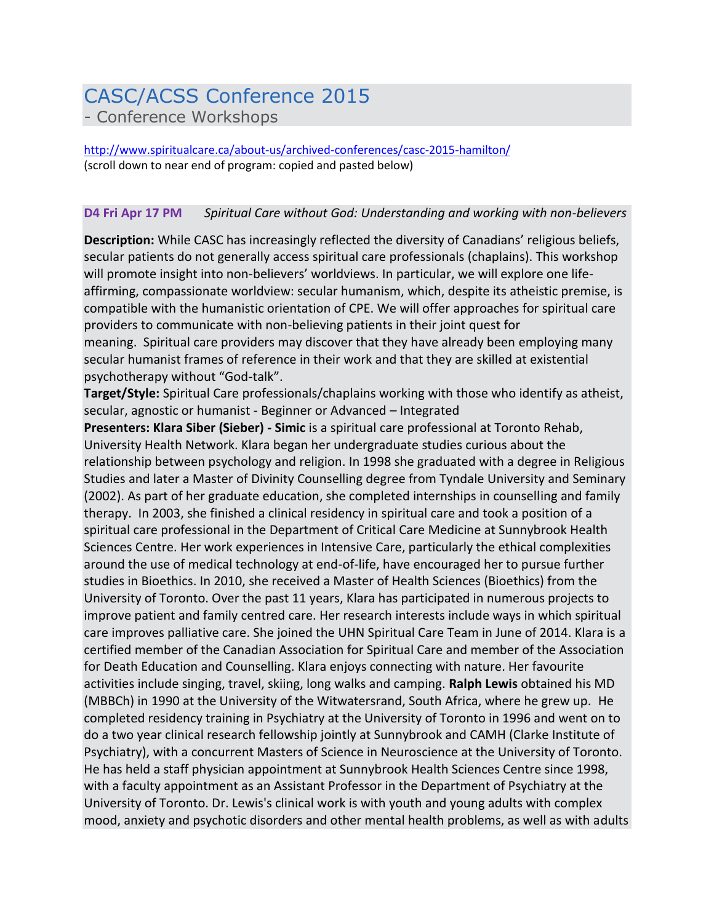## CASC/ACSS Conference 2015 - Conference Workshops

<http://www.spiritualcare.ca/about-us/archived-conferences/casc-2015-hamilton/> (scroll down to near end of program: copied and pasted below)

## **D4 Fri Apr 17 PM** *Spiritual Care without God: Understanding and working with non-believers*

**Description:** While CASC has increasingly reflected the diversity of Canadians' religious beliefs, secular patients do not generally access spiritual care professionals (chaplains). This workshop will promote insight into non-believers' worldviews. In particular, we will explore one lifeaffirming, compassionate worldview: secular humanism, which, despite its atheistic premise, is compatible with the humanistic orientation of CPE. We will offer approaches for spiritual care providers to communicate with non-believing patients in their joint quest for meaning. Spiritual care providers may discover that they have already been employing many secular humanist frames of reference in their work and that they are skilled at existential psychotherapy without "God-talk".

**Target/Style:** Spiritual Care professionals/chaplains working with those who identify as atheist, secular, agnostic or humanist - Beginner or Advanced – Integrated

**Presenters: Klara Siber (Sieber) - Simic** is a spiritual care professional at Toronto Rehab, University Health Network. Klara began her undergraduate studies curious about the relationship between psychology and religion. In 1998 she graduated with a degree in Religious Studies and later a Master of Divinity Counselling degree from Tyndale University and Seminary (2002). As part of her graduate education, she completed internships in counselling and family therapy. In 2003, she finished a clinical residency in spiritual care and took a position of a spiritual care professional in the Department of Critical Care Medicine at Sunnybrook Health Sciences Centre. Her work experiences in Intensive Care, particularly the ethical complexities around the use of medical technology at end-of-life, have encouraged her to pursue further studies in Bioethics. In 2010, she received a Master of Health Sciences (Bioethics) from the University of Toronto. Over the past 11 years, Klara has participated in numerous projects to improve patient and family centred care. Her research interests include ways in which spiritual care improves palliative care. She joined the UHN Spiritual Care Team in June of 2014. Klara is a certified member of the Canadian Association for Spiritual Care and member of the Association for Death Education and Counselling. Klara enjoys connecting with nature. Her favourite activities include singing, travel, skiing, long walks and camping. **Ralph Lewis** obtained his MD (MBBCh) in 1990 at the University of the Witwatersrand, South Africa, where he grew up. He completed residency training in Psychiatry at the University of Toronto in 1996 and went on to do a two year clinical research fellowship jointly at Sunnybrook and CAMH (Clarke Institute of Psychiatry), with a concurrent Masters of Science in Neuroscience at the University of Toronto. He has held a staff physician appointment at Sunnybrook Health Sciences Centre since 1998, with a faculty appointment as an Assistant Professor in the Department of Psychiatry at the University of Toronto. Dr. Lewis's clinical work is with youth and young adults with complex mood, anxiety and psychotic disorders and other mental health problems, as well as with adults